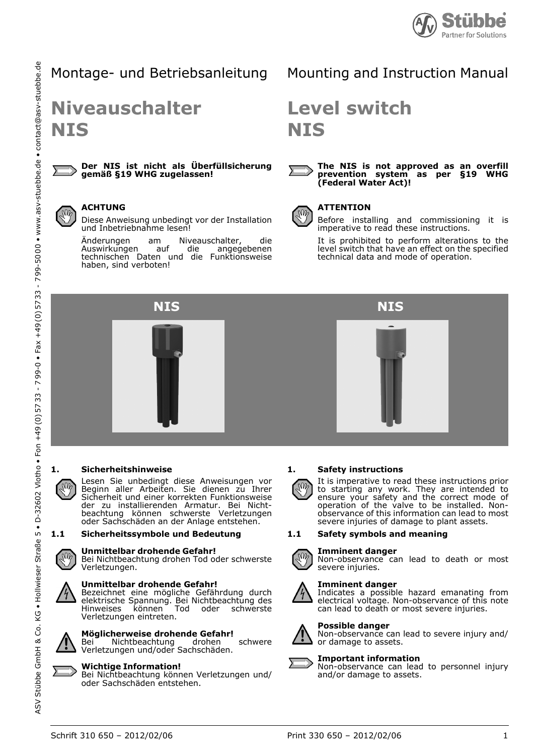

# Montage- und Betriebsanleitung

# **Niveauschalter NIS**

#### **Der NIS ist nicht als Überfüllsicherung gemäß §19 WHG zugelassen!**

#### **ACHTUNG**  $M$

Diese Anweisung unbedingt vor der Installation und Inbetriebnahme lesen!

Änderungen am Niveauschalter, die<br>Auswirkungen auf die angegebenen Auswirkungen technischen Daten und die Funktionsweise haben, sind verboten!

# Mounting and Instruction Manual

# **Level switch NIS**



#### **The NIS is not approved as an overfill prevention system as per §19 WHG (Federal Water Act)!**



#### **ATTENTION**

Before installing and commissioning it is imperative to read these instructions.

It is prohibited to perform alterations to the level switch that have an effect on the specified technical data and mode of operation.



#### **1. Sicherheitshinweise**

Lesen Sie unbedingt diese Anweisungen vor Beginn aller Arbeiten. Sie dienen zu Ihrer Sicherheit und einer korrekten Funktionsweise der zu installierenden Armatur. Bei Nichtbeachtung können schwerste Verletzungen oder Sachschäden an der Anlage entstehen.

#### **1.1 Sicherheitssymbole und Bedeutung**

#### **Unmittelbar drohende Gefahr!**

Bei Nichtbeachtung drohen Tod oder schwerste Verletzungen.



#### **Unmittelbar drohende Gefahr!**

Bezeichnet eine mögliche Gefährdung durch elektrische Spannung. Bei Nichtbeachtung des Hinweises können Tod oder schwerste Verletzungen eintreten.



ASV

# **Möglicherweise drohende Gefahr!**

Bei Nichtbeachtung drohen schwere Verletzungen und/oder Sachschäden.

#### **Wichtige Information!**

Bei Nichtbeachtung können Verletzungen und/ oder Sachschäden entstehen.

#### **1. Safety instructions**

It is imperative to read these instructions prior to starting any work. They are intended to ensure your safety and the correct mode of operation of the valve to be installed. Nonobservance of this information can lead to most severe injuries of damage to plant assets.

#### **1.1 Safety symbols and meaning**

# **Imminent danger**



 $\sqrt{\mathsf{M}}$ 

Non-observance can lead to death or most severe injuries.

#### **Imminent danger**

Indicates a possible hazard emanating from electrical voltage. Non-observance of this note can lead to death or most severe injuries.

#### **Possible danger**

Non-observance can lead to severe injury and/ or damage to assets.

# **Important information** and/or damage to assets.



Non-observance can lead to personnel injury

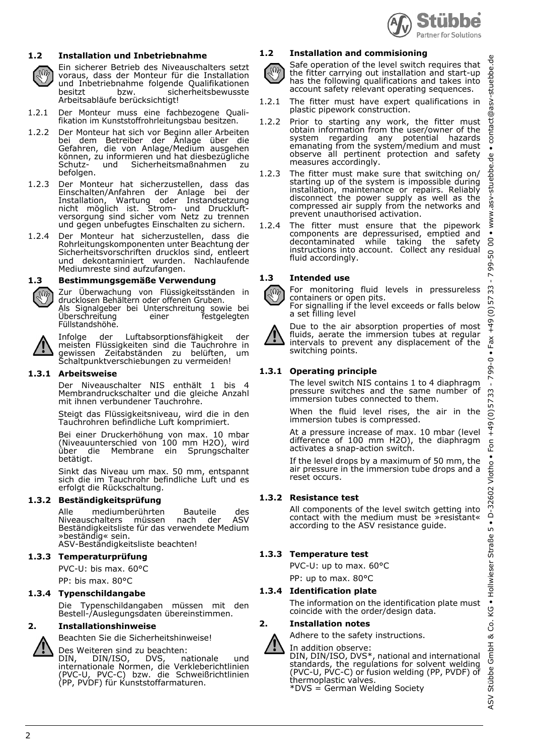

# **1.2 Installation und Inbetriebnahme**

Ein sicherer Betrieb des Niveauschalters setzt voraus, dass der Monteur für die Installation und Inbetriebnahme folgende Qualifikationen besitzt bzw. sicherheitsbewusste Arbeitsabläufe berücksichtigt!

- 1.2.1 Der Monteur muss eine fachbezogene Qualifikation im Kunststoffrohrleitungsbau besitzen.
- 1.2.2 Der Monteur hat sich vor Beginn aller Arbeiten bei dem Betreiber der Anlage über die Gefahren, die von Anlage/Medium ausgehen können, zu informieren und hat diesbezügliche<br>Schutz- und Sicherheitsmaßnahmen zu und Sicherheitsmaßnahmen zu befolgen.
- 1.2.3 Der Monteur hat sicherzustellen, dass das Einschalten/Anfahren der Anlage bei der Installation, Wartung oder Instandsetzung nicht möglich ist. Strom- und Druckluftversorgung sind sicher vom Netz zu trennen und gegen unbefugtes Einschalten zu sichern.
- 1.2.4 Der Monteur hat sicherzustellen, dass die Rohrleitungskomponenten unter Beachtung der Sicherheitsvorschriften drucklos sind, entleert und dekontaminiert wurden. Nachlaufende Mediumreste sind aufzufangen.

#### **1.3 Bestimmungsgemäße Verwendung**

Zur Überwachung von Flüssigkeitsständen in drucklosen Behältern oder offenen Gruben. Als Signalgeber bei Unterschreitung sowie bei Überschreitung einer festgelegten Füllstandshöhe.



**N** 

Infolge der Luftabsorptionsfähigkeit der meisten Flüssigkeiten sind die Tauchrohre in gewissen Zeitabständen zu belüften, um Schaltpunktverschiebungen zu vermeiden!

#### **1.3.1 Arbeitsweise**

Der Niveauschalter NIS enthält 1 bis 4 Membrandruckschalter und die gleiche Anzahl mit ihnen verbundener Tauchrohre.

Steigt das Flüssigkeitsniveau, wird die in den Tauchrohren befindliche Luft komprimiert.

Bei einer Druckerhöhung von max. 10 mbar (Niveauunterschied von 100 mm H2O), wird über die Membrane ein Sprungschalter betätigt.

Sinkt das Niveau um max. 50 mm, entspannt sich die im Tauchrohr befindliche Luft und es erfolgt die Rückschaltung.

#### **1.3.2 Beständigkeitsprüfung**

Alle mediumberührten Bauteile des Niveauschalters müssen nach der ASV Beständigkeitsliste für das verwendete Medium »beständig« sein. ASV-Beständigkeitsliste beachten!

#### **1.3.3 Temperaturprüfung**

PVC-U: bis max. 60°C

PP: bis max. 80°C

# **1.3.4 Typenschildangabe**

Die Typenschildangaben müssen mit den Bestell-/Auslegungsdaten übereinstimmen.

#### **2. Installationshinweise**

Beachten Sie die Sicherheitshinweise!

Des Weiteren sind zu beachten:<br>DIN, DIN/ISO, DVS, nationale DIN, DIN/ISO, DVS, nationale und internationale Normen, die Verkleberichtlinien (PVC-U, PVC-C) bzw. die Schweißrichtlinien (PP, PVDF) für Kunststoffarmaturen.

#### **1.2 Installation and commisioning**

Safe operation of the level switch requires that  $\sqrt{M}$ the fitter carrying out installation and start-up has the following qualifications and takes into account safety relevant operating sequences.

- 1.2.1 The fitter must have expert qualifications in plastic pipework construction.
- 1.2.2 Prior to starting any work, the fitter must obtain information from the user/owner of the system regarding any potential hazards emanating from the system/medium and must observe all pertinent protection and safety measures accordingly.
- 1.2.3 The fitter must make sure that switching on/ starting up of the system is impossible during installation, maintenance or repairs. Reliably disconnect the power supply as well as the compressed air supply from the networks and prevent unauthorised activation.
- 1.2.4 The fitter must ensure that the pipework components are depressurised, emptied and decontaminated while taking the safety instructions into account. Collect any residual fluid accordingly.



For monitoring fluid levels in pressureless containers or open pits.

For signalling if the level exceeds or falls below a set filling level



Due to the air absorption properties of most fluids, aerate the immersion tubes at regular intervals to prevent any displacement of the switching points.

#### **1.3.1 Operating principle**

The level switch NIS contains 1 to 4 diaphragm pressure switches and the same number of immersion tubes connected to them.

When the fluid level rises, the air in the immersion tubes is compressed.

At a pressure increase of max. 10 mbar (level difference of 100 mm H2O), the diaphragm activates a snap-action switch.

If the level drops by a maximum of 50 mm, the air pressure in the immersion tube drops and a reset occurs.

#### **1.3.2 Resistance test**

All components of the level switch getting into contact with the medium must be »resistant« according to the ASV resistance guide.

#### **1.3.3 Temperature test**

PVC-U: up to max. 60°C

PP: up to max. 80°C

#### **1.3.4 Identification plate**

The information on the identification plate must coincide with the order/design data.

#### **2. Installation notes**

Adhere to the safety instructions.

In addition observe:

DIN, DIN/ISO, DVS\*, national and international standards, the regulations for solvent welding (PVC-U, PVC-C) or fusion welding (PP, PVDF) of thermoplastic valves. \*DVS = German Welding Society

ASV Stübbe GmbH & Co. KG • Hollwieser Straße 5 • D-32602 Vlotho • Fon +49 (0) 57 33 - 7 99-0 • Fax +49 (0) 57 33 - 7 99-50 00 • www.asv-stuebbe.de • contact@asv-stuebbe.de 용 ed<br>Q -stuebb  $\frac{5}{5}$ contact@  $\bullet$  $\frac{1}{\sigma}$ -stuebbe. www.asv  $\ddot{\phantom{1}}$ 8 50 799-33 57  $\widehat{\circ}$  $-49$ Fax  $\bullet$ 799-0 33 57  $\widehat{c}$  $-49$  $Fon$  $\overline{\cdot}$ Vlotho 32602  $\frac{1}{\bullet}$ ഥ Hollwieser Straße  $\bullet$ ζÖ Ś න් GmbH Stübbe ΚŜΝ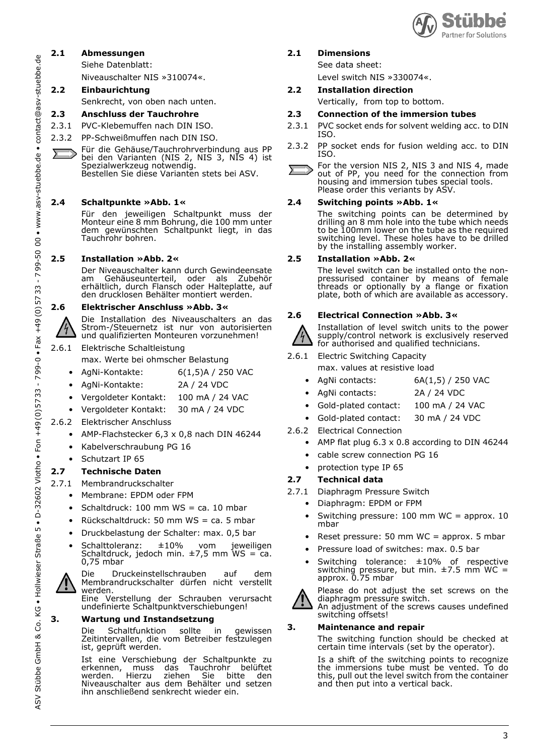

ASV Stübbe GmbH & Co. KG • Hollwieser Straße 5 • D-32602 Vlotho • Fon +49 (0) 57 33 - 7 99-0 • Fax +49 (0) 57 33 - 7 99-50 00 • www.asv-stuebbe.de • contact@asv-stuebbe.de contact@asv-stuebbe.de  $\bullet$ • www.asv-stuebbe.de 8 99-50  $\tilde{z}$ 5733  $+49(0)$  $\bullet$  Fax - $33 - 799 - 0$ 57  $+49(0)$ Fon  $\overline{\cdot}$ • D-32602 Vlotho in KG . Hollwieser Straße Stübbe GmbH & Co. **ASV** 

74

### **2.1 Abmessungen**

Siehe Datenblatt:

Niveauschalter NIS »310074«.

# **2.2 Einbaurichtung**

Senkrecht, von oben nach unten.

# **2.3 Anschluss der Tauchrohre**

- 2.3.1 PVC-Klebemuffen nach DIN ISO.
- 2.3.2 PP-Schweißmuffen nach DIN ISO.
- Für die Gehäuse/Tauchrohrverbindung aus PP bei den Varianten (NIS 2, NIS 3, NIS 4) ist Spezialwerkzeug notwendig. Bestellen Sie diese Varianten stets bei ASV.

# **2.4 Schaltpunkte »Abb. 1«**

Für den jeweiligen Schaltpunkt muss der Monteur eine 8 mm Bohrung, die 100 mm unter dem gewünschten Schaltpunkt liegt, in das Tauchrohr bohren.

# **2.5 Installation »Abb. 2«**

Der Niveauschalter kann durch Gewindeensate<br>am Gehäuseunterteil, oder als Zubehör am Gehäuseunterteil, oder als Zubehör erhältlich, durch Flansch oder Halteplatte, auf den drucklosen Behälter montiert werden.

# **2.6 Elektrischer Anschluss »Abb. 3«**

Die Installation des Niveauschalters an das Strom-/Steuernetz ist nur von autorisierten und qualifizierten Monteuren vorzunehmen!

- 2.6.1 Elektrische Schaltleistung
	- max. Werte bei ohmscher Belastung
	- AgNi-Kontakte: 6(1,5)A / 250 VAC
	- AgNi-Kontakte: 2A / 24 VDC
	- Vergoldeter Kontakt: 100 mA / 24 VAC
	- Vergoldeter Kontakt: 30 mA / 24 VDC
- 2.6.2 Elektrischer Anschluss
	- AMP-Flachstecker 6,3 x 0,8 nach DIN 46244
	- Kabelverschraubung PG 16
	- Schutzart IP 65

# **2.7 Technische Daten**

- 2.7.1 Membrandruckschalter
	- Membrane: EPDM oder FPM
	- Schaltdruck: 100 mm  $WS = ca$ . 10 mbar
	- Rückschaltdruck: 50 mm  $WS = ca$ . 5 mbar
	- Druckbelastung der Schalter: max. 0,5 bar
	- Schalttoleranz: ±10% vom jeweiligen Schaltdruck, jedoch min.  $\pm$ 7,5 mm WS = ca. 0,75 mbar



Die Druckeinstellschrauben auf dem Membrandruckschalter dürfen nicht verstellt werden.

Eine Verstellung der Schrauben verursacht undefinierte Schaltpunktverschiebungen!

# **3. Wartung und Instandsetzung**

Die Schaltfunktion sollte in gewissen Zeitintervallen, die vom Betreiber festzulegen ist, geprüft werden.

Ist eine Verschiebung der Schaltpunkte zu erkennen, muss das Tauchrohr belüftet werden. Hierzu ziehen Sie bitte den Niveauschalter aus dem Behälter und setzen ihn anschließend senkrecht wieder ein.

# **2.1 Dimensions**

See data sheet:

- Level switch NIS »330074«.
- **2.2 Installation direction**
	- Vertically, from top to bottom.

#### **2.3 Connection of the immersion tubes**

- 2.3.1 PVC socket ends for solvent welding acc. to DIN ISO.
- 2.3.2 PP socket ends for fusion welding acc. to DIN ISO.
- For the version NIS 2, NIS 3 and NIS 4, made out of PP, you need for the connection from housing and immersion tubes special tools. Please order this veriants by ASV.

### **2.4 Switching points »Abb. 1«**

The switching points can be determined by drilling an 8 mm hole into the tube which needs to be 100mm lower on the tube as the required switching level. These holes have to be drilled by the installing assembly worker.

#### **2.5 Installation »Abb. 2«**

The level switch can be installed onto the nonpressurised container by means of female threads or optionally by a flange or fixation plate, both of which are available as accessory.

### **2.6 Electrical Connection »Abb. 3«**

Installation of level switch units to the power supply/control network is exclusively reserved for authorised and qualified technicians.

- 2.6.1 Electric Switching Capacity
	- max. values at resistive load
	- AgNi contacts: 6A(1,5) / 250 VAC
	- AgNi contacts: 2A / 24 VDC
	- Gold-plated contact: 100 mA / 24 VAC
	- Gold-plated contact: 30 mA / 24 VDC
- 2.6.2 Electrical Connection
	- AMP flat plug  $6.3 \times 0.8$  according to DIN 46244
	- cable screw connection PG 16
	- protection type IP 65

# **2.7 Technical data**

- 2.7.1 Diaphragm Pressure Switch
	- Diaphragm: EPDM or FPM
	- Switching pressure: 100 mm WC = approx. 10 mbar
	- Reset pressure: 50 mm WC = approx. 5 mbar
	- Pressure load of switches: max. 0.5 bar
	- Switching tolerance: ±10% of respective switching pressure, but min.  $\pm 7.5$  mm WC = approx. 0.75 mbar



 $4\frac{1}{4}$ 

Please do not adjust the set screws on the diaphragm pressure switch. An adjustment of the screws causes undefined switching offsets!

#### **3. Maintenance and repair**

The switching function should be checked at certain time intervals (set by the operator).

Is a shift of the switching points to recognize the immersions tube must be vented. To do this, pull out the level switch from the container and then put into a vertical back.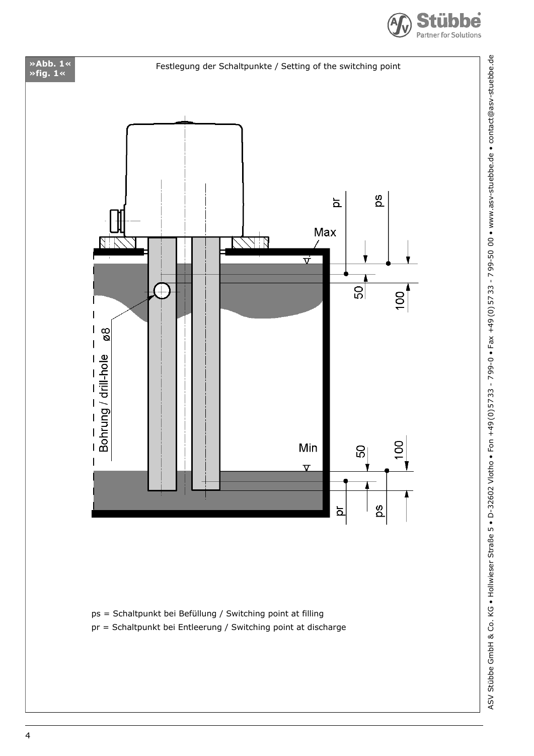



ps = Schaltpunkt bei Befüllung / Switching point at filling

pr = Schaltpunkt bei Entleerung / Switching point at discharge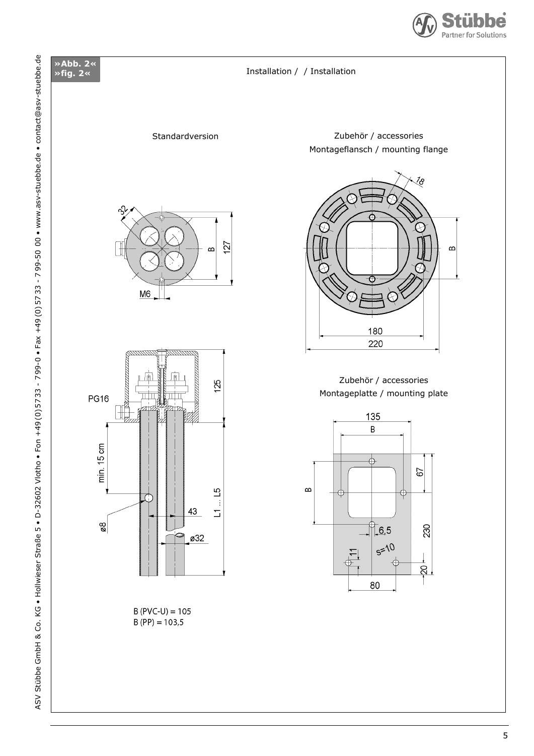

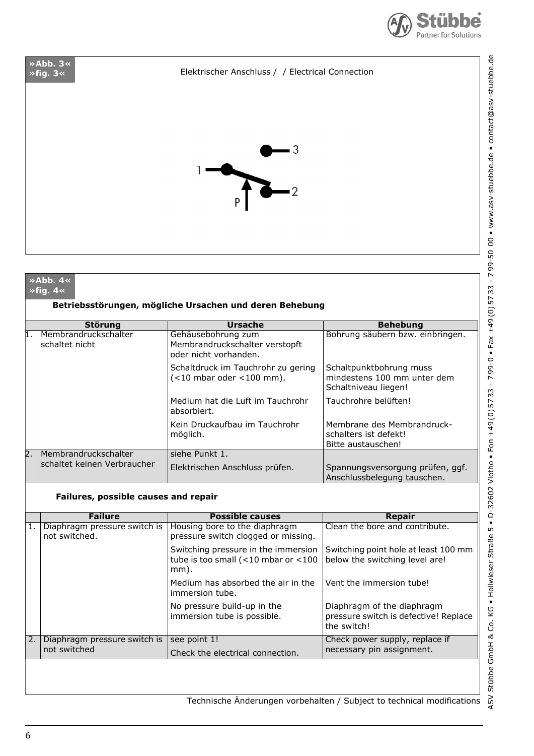

# **»fig. 3«** Elektrischer Anschluss / / Electrical Connection



|                  | $\rightarrow$ Abb. 4 $\ll$<br>≫fiq. 4« |                                                                               |                                                                                |
|------------------|----------------------------------------|-------------------------------------------------------------------------------|--------------------------------------------------------------------------------|
|                  |                                        | Betriebsstörungen, mögliche Ursachen und deren Behebung                       |                                                                                |
|                  | <b>Störung</b>                         | <b>Ursache</b>                                                                | <b>Behebung</b>                                                                |
| 1.               | Membrandruckschalter<br>schaltet nicht | Gehäusebohrung zum<br>Membrandruckschalter verstopft<br>oder nicht vorhanden. | Bohrung säubern bzw. einbringen.                                               |
|                  |                                        | Schaltdruck im Tauchrohr zu gering<br>$(<$ 10 mbar oder <100 mm).             | Schaltpunktbohrung muss<br>mindestens 100 mm unter dem<br>Schaltniveau liegen! |
|                  |                                        | Medium hat die Luft im Tauchrohr<br>absorbiert.                               | Tauchrohre belüften!                                                           |
|                  |                                        | Kein Druckaufbau im Tauchrohr<br>möglich.                                     | Membrane des Membrandruck-<br>schalters ist defekt!<br>Bitte austauschen!      |
| $\overline{2}$ . | Membrandruckschalter                   | siehe Punkt 1.                                                                |                                                                                |
|                  | schaltet keinen Verbraucher            | Elektrischen Anschluss prüfen.                                                | Spannungsversorgung prüfen, ggf.<br>Anschlussbelegung tauschen.                |

#### **Failures, possible causes and repair**

|    | <b>Failure</b>                                | <b>Possible causes</b>                                                                    | Repair                                                                             |  |  |  |  |
|----|-----------------------------------------------|-------------------------------------------------------------------------------------------|------------------------------------------------------------------------------------|--|--|--|--|
| 1. | Diaphragm pressure switch is<br>not switched. | Housing bore to the diaphragm<br>pressure switch clogged or missing.                      | Clean the bore and contribute.                                                     |  |  |  |  |
|    |                                               | Switching pressure in the immersion<br>tube is too small ( $<$ 10 mbar or $<$ 100<br>mm). | Switching point hole at least 100 mm<br>below the switching level are!             |  |  |  |  |
|    |                                               | Medium has absorbed the air in the<br>immersion tube.                                     | Vent the immersion tube!                                                           |  |  |  |  |
|    |                                               | No pressure build-up in the<br>immersion tube is possible.                                | Diaphragm of the diaphragm<br>pressure switch is defective! Replace<br>the switch! |  |  |  |  |
| 2. | Diaphragm pressure switch is                  | see point 1!                                                                              | Check power supply, replace if                                                     |  |  |  |  |
|    | not switched                                  | Check the electrical connection.                                                          | necessary pin assignment.                                                          |  |  |  |  |
|    |                                               |                                                                                           |                                                                                    |  |  |  |  |

ASV Stübbe GmbH & Co. KG . Hollwieser Straße 5 . D-32602 Vlotho . Fon +49(0)5733 - 799-0 . Fax +49(0)5733 - 799-50 00 . www.asv-stuebbe.de . contact@asv-stuebbe.de ASV Stübbe GmbH & Co. KG • Hollwieser Straße 5 • D-32602 Vlotho • Fon +49 (0) 57 33 - 7 99-0 • Fax +49 (0) 57 33 - 7 99-50 00 • www.asv-stuebbe.de • contact@asv-stuebbe.de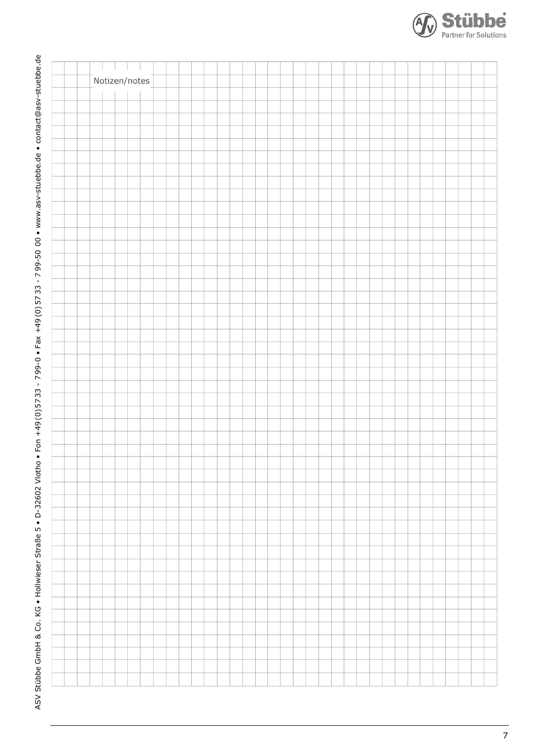

ASV Stübbe GmbH & Co. KG . Hollwieser Straße 5. D-32602 Vlotho. Fon +49(0)5733 - 799-0. Fax +49(0)5733 - 799-50 00. www.asv-stuebbe.de. contact@asv-stuebbe.de ASV Stübbe GmbH & Co. KG • Hollwieser Straße 5 • D-32602 Vlotho • Fon +49 (0) 57 33 - 7 99-0 • Fax +49 (0) 57 33 - 7 99-50 00 • www.asv-stuebbe.de • contact@asv-stuebbe.de

Stübbe **Partner for Solutions**